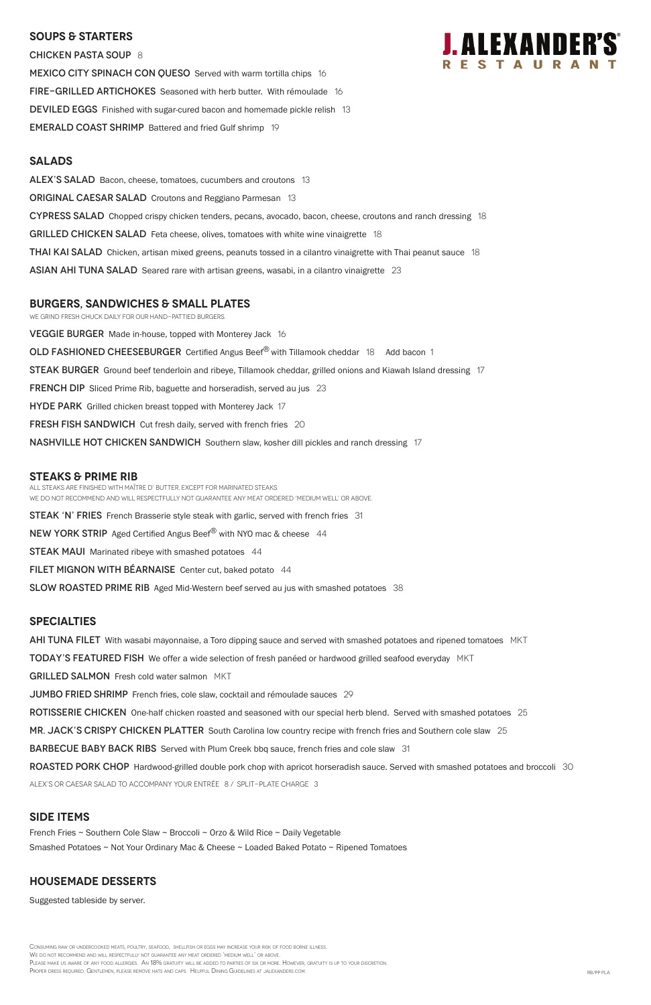#### **SOUPS & Starters**

CHICKEN PASTA SOUP 8 MEXICO CITY SPINACH CON QUESO Served with warm tortilla chips 16 FIRE-GRILLED ARTICHOKES Seasoned with herb butter. With rémoulade 16 **DEVILED EGGS** Finished with sugar-cured bacon and homemade pickle relish 13 **EMERALD COAST SHRIMP** Battered and fried Gulf shrimp 19

#### **Salads**

ALEX'S SALAD Bacon, cheese, tomatoes, cucumbers and croutons 13 **ORIGINAL CAESAR SALAD** Croutons and Reggiano Parmesan 13 CYPRESS SALAD Chopped crispy chicken tenders, pecans, avocado, bacon, cheese, croutons and ranch dressing 18 **GRILLED CHICKEN SALAD** Feta cheese, olives, tomatoes with white wine vinaigrette 18 **THAI KAI SALAD** Chicken, artisan mixed greens, peanuts tossed in a cilantro vinaigrette with Thai peanut sauce 18 ASIAN AHI TUNA SALAD Seared rare with artisan greens, wasabi, in a cilantro vinaigrette 23

We grind fresh chuck daily for our hand-pattied burgers. **VEGGIE BURGER** Made in-house, topped with Monterey Jack 16 **OLD FASHIONED CHEESEBURGER** Certified Angus Beef<sup>®</sup> with Tillamook cheddar 18 Add bacon 1 STEAK BURGER Ground beef tenderloin and ribeye, Tillamook cheddar, grilled onions and Kiawah Island dressing 17 **FRENCH DIP** Sliced Prime Rib, baguette and horseradish, served au jus 23 HYDE PARK Grilled chicken breast topped with Monterey Jack 17 FRESH FISH SANDWICH Cut fresh daily, served with french fries 20 **NASHVILLE HOT CHICKEN SANDWICH** Southern slaw, kosher dill pickles and ranch dressing 17

All steaks are finished with Maître d' butter, except for marinated steaks. WE DO NOT RECOMMEND AND WILL RESPECTFULLY NOT GUARANTEE ANY MEAT ORDERED 'MEDIUM WELL' OR ABOVE. STEAK 'N' FRIES French Brasserie style steak with garlic, served with french fries 31 **NEW YORK STRIP** Aged Certified Angus Beef<sup>®</sup> with NYO mac & cheese 44 **STEAK MAUI** Marinated ribeye with smashed potatoes 44

FILET MIGNON WITH BÉARNAISE Center cut, baked potato 44

SLOW ROASTED PRIME RIB Aged Mid-Western beef served au jus with smashed potatoes 38

### **burgers, Sandwiches & small plates**

#### **STEAKS & Prime Rib**

Consuming raw or undercooked meats, poultry, seafood, shellfish or eggs may increase your risk of food borne illness. We do not recommend and will respectfully not guarantee any meat ordered 'medium well' or above. Please make us aware of any food allergies. An 18% gratuity will be added to parties of six or more. However, gratuity is up to your discretion. Proper dress required. Gentlemen, please remove hats and caps. Helpful Dining Guidelines at jalexanders.com. RB/PP PLA

### **specialties**

AHI TUNA FILET With wasabi mayonnaise, a Toro dipping sauce and served with smashed potatoes and ripened tomatoes MKT

**TODAY'S FEATURED FISH** We offer a wide selection of fresh panéed or hardwood grilled seafood everyday MKT

GRILLED SALMON Fresh cold water salmon MKT

**JUMBO FRIED SHRIMP** French fries, cole slaw, cocktail and rémoulade sauces 29

ROTISSERIE CHICKEN One-half chicken roasted and seasoned with our special herb blend. Served with smashed potatoes 25

MR. JACK'S CRISPY CHICKEN PLATTER South Carolina low country recipe with french fries and Southern cole slaw 25



BARBECUE BABY BACK RIBS Served with Plum Creek bbq sauce, french fries and cole slaw 31

ROASTED PORK CHOP Hardwood-grilled double pork chop with apricot horseradish sauce. Served with smashed potatoes and broccoli 30

ALEX's or Caesar salad to accompany your entrée 8 / split-plate charge 3

# **SIDE ITEMS**

French Fries ~ Southern Cole Slaw ~ Broccoli ~ Orzo & Wild Rice ~ Daily Vegetable

Smashed Potatoes ~ Not Your Ordinary Mac & Cheese ~ Loaded Baked Potato ~ Ripened Tomatoes

## **Housemade DESSERTS**

Suggested tableside by server.